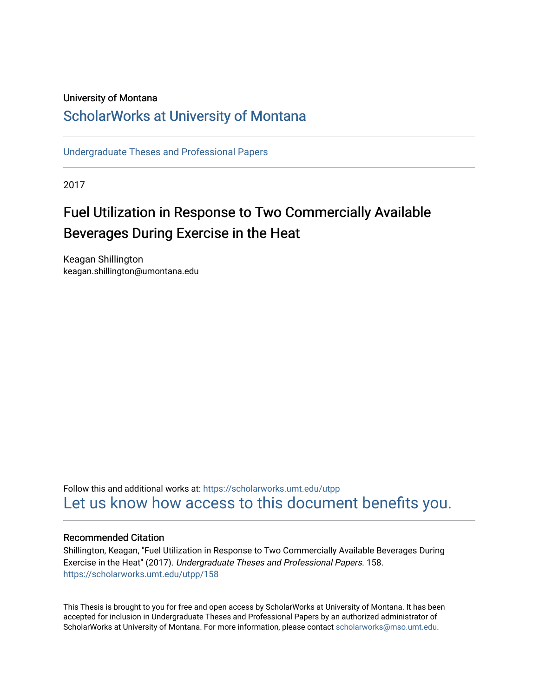## University of Montana

## [ScholarWorks at University of Montana](https://scholarworks.umt.edu/)

[Undergraduate Theses and Professional Papers](https://scholarworks.umt.edu/utpp) 

2017

# Fuel Utilization in Response to Two Commercially Available Beverages During Exercise in the Heat

Keagan Shillington keagan.shillington@umontana.edu

Follow this and additional works at: [https://scholarworks.umt.edu/utpp](https://scholarworks.umt.edu/utpp?utm_source=scholarworks.umt.edu%2Futpp%2F158&utm_medium=PDF&utm_campaign=PDFCoverPages) [Let us know how access to this document benefits you.](https://goo.gl/forms/s2rGfXOLzz71qgsB2) 

#### Recommended Citation

Shillington, Keagan, "Fuel Utilization in Response to Two Commercially Available Beverages During Exercise in the Heat" (2017). Undergraduate Theses and Professional Papers. 158. [https://scholarworks.umt.edu/utpp/158](https://scholarworks.umt.edu/utpp/158?utm_source=scholarworks.umt.edu%2Futpp%2F158&utm_medium=PDF&utm_campaign=PDFCoverPages)

This Thesis is brought to you for free and open access by ScholarWorks at University of Montana. It has been accepted for inclusion in Undergraduate Theses and Professional Papers by an authorized administrator of ScholarWorks at University of Montana. For more information, please contact [scholarworks@mso.umt.edu.](mailto:scholarworks@mso.umt.edu)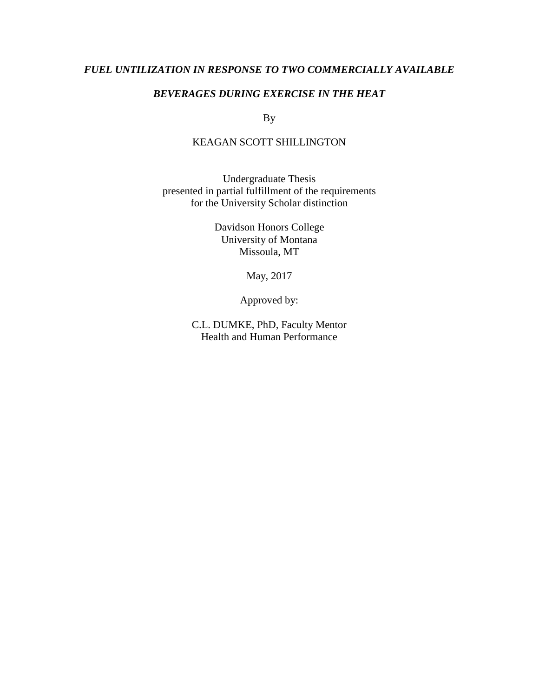## *FUEL UNTILIZATION IN RESPONSE TO TWO COMMERCIALLY AVAILABLE*

## *BEVERAGES DURING EXERCISE IN THE HEAT*

By

## KEAGAN SCOTT SHILLINGTON

Undergraduate Thesis presented in partial fulfillment of the requirements for the University Scholar distinction

> Davidson Honors College University of Montana Missoula, MT

> > May, 2017

Approved by:

C.L. DUMKE, PhD, Faculty Mentor Health and Human Performance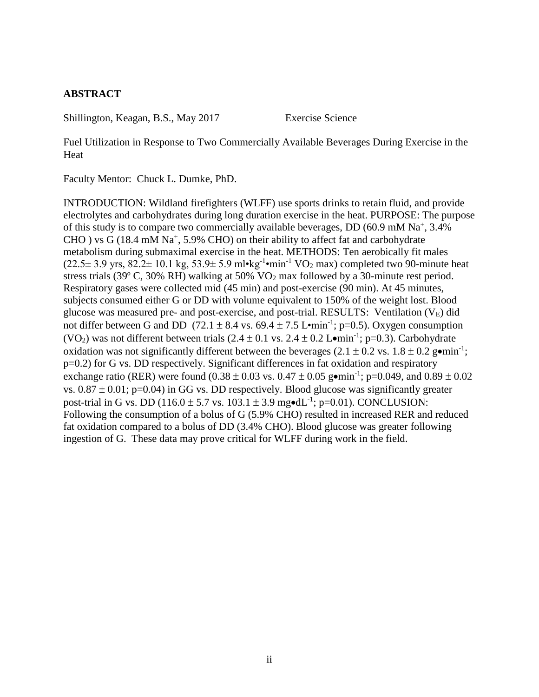## **ABSTRACT**

Shillington, Keagan, B.S., May 2017 Exercise Science

Fuel Utilization in Response to Two Commercially Available Beverages During Exercise in the **Heat** 

Faculty Mentor: Chuck L. Dumke, PhD.

INTRODUCTION: Wildland firefighters (WLFF) use sports drinks to retain fluid, and provide electrolytes and carbohydrates during long duration exercise in the heat. PURPOSE: The purpose of this study is to compare two commercially available beverages,  $DD(60.9 \text{ mM Na}^+, 3.4\%)$ CHO ) vs G (18.4 mM Na<sup>+</sup>, 5.9% CHO) on their ability to affect fat and carbohydrate metabolism during submaximal exercise in the heat. METHODS: Ten aerobically fit males  $(22.5 \pm 3.9 \text{ yrs}, 82.2 \pm 10.1 \text{ kg}, 53.9 \pm 5.9 \text{ m} \cdot \text{kg}^{-1} \cdot \text{min}^{-1} \text{ VO}_2 \text{ max})$  completed two 90-minute heat stress trials (39º C, 30% RH) walking at 50% VO<sup>2</sup> max followed by a 30-minute rest period. Respiratory gases were collected mid (45 min) and post-exercise (90 min). At 45 minutes, subjects consumed either G or DD with volume equivalent to 150% of the weight lost. Blood glucose was measured pre- and post-exercise, and post-trial. RESULTS: Ventilation  $(V_E)$  did not differ between G and DD  $(72.1 \pm 8.4 \text{ vs. } 69.4 \pm 7.5 \text{ L} \cdot \text{min}^{-1}; \text{ p=0.5}).$  Oxygen consumption (VO<sub>2</sub>) was not different between trials  $(2.4 \pm 0.1 \text{ vs. } 2.4 \pm 0.2 \text{ L} \cdot \text{min}^{-1}; \text{p=0.3}).$  Carbohydrate oxidation was not significantly different between the beverages  $(2.1 \pm 0.2 \text{ vs. } 1.8 \pm 0.2 \text{ g}\cdot\text{min}^{-1})$ ; p=0.2) for G vs. DD respectively. Significant differences in fat oxidation and respiratory exchange ratio (RER) were found  $(0.38 \pm 0.03 \text{ vs. } 0.47 \pm 0.05 \text{ g} \cdot \text{min}^{-1}$ ; p=0.049, and 0.89  $\pm$  0.02 vs.  $0.87 \pm 0.01$ ; p=0.04) in GG vs. DD respectively. Blood glucose was significantly greater post-trial in G vs. DD ( $116.0 \pm 5.7$  vs.  $103.1 \pm 3.9$  mg $\bullet$ dL<sup>-1</sup>; p=0.01). CONCLUSION: Following the consumption of a bolus of G (5.9% CHO) resulted in increased RER and reduced fat oxidation compared to a bolus of DD (3.4% CHO). Blood glucose was greater following ingestion of G. These data may prove critical for WLFF during work in the field.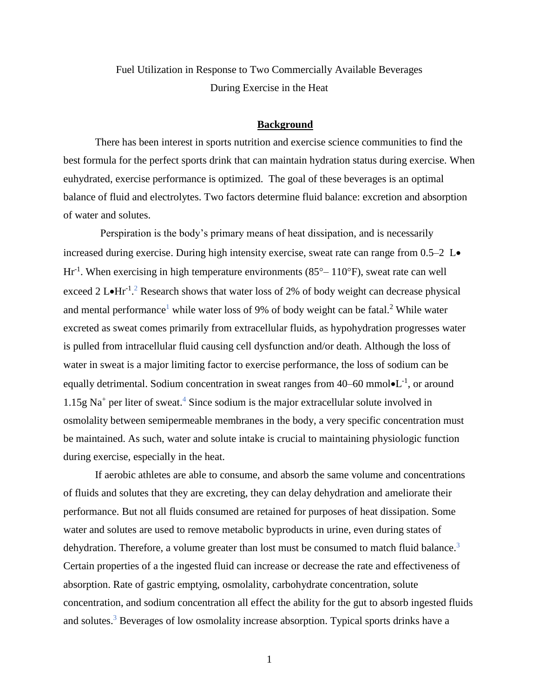Fuel Utilization in Response to Two Commercially Available Beverages During Exercise in the Heat

#### **Background**

There has been interest in sports nutrition and exercise science communities to find the best formula for the perfect sports drink that can maintain hydration status during exercise. When euhydrated, exercise performance is optimized. The goal of these beverages is an optimal balance of fluid and electrolytes. Two factors determine fluid balance: excretion and absorption of water and solutes.

 Perspiration is the body's primary means of heat dissipation, and is necessarily increased during exercise. During high intensity exercise, sweat rate can range from  $0.5-2$  L $\bullet$  $\text{Hr}^{-1}$ . When exercising in high temperature environments (85 $^{\circ}$  – 110 $^{\circ}$ F), sweat rate can well exceed 2 L $\text{Hr}^{-1}$ .<sup>2</sup> Research shows that water loss of 2% of body weight can decrease physical and mental performance<sup>1</sup> while water loss of 9% of body weight can be fatal.<sup>2</sup> While water excreted as sweat comes primarily from extracellular fluids, as hypohydration progresses water is pulled from intracellular fluid causing cell dysfunction and/or death. Although the loss of water in sweat is a major limiting factor to exercise performance, the loss of sodium can be equally detrimental. Sodium concentration in sweat ranges from  $40-60$  mmol $\bullet L^{-1}$ , or around  $1.15g$  Na<sup>+</sup> per liter of sweat.<sup>4</sup> Since sodium is the major extracellular solute involved in osmolality between semipermeable membranes in the body, a very specific concentration must be maintained. As such, water and solute intake is crucial to maintaining physiologic function during exercise, especially in the heat.

If aerobic athletes are able to consume, and absorb the same volume and concentrations of fluids and solutes that they are excreting, they can delay dehydration and ameliorate their performance. But not all fluids consumed are retained for purposes of heat dissipation. Some water and solutes are used to remove metabolic byproducts in urine, even during states of dehydration. Therefore, a volume greater than lost must be consumed to match fluid balance.<sup>3</sup> Certain properties of a the ingested fluid can increase or decrease the rate and effectiveness of absorption. Rate of gastric emptying, osmolality, carbohydrate concentration, solute concentration, and sodium concentration all effect the ability for the gut to absorb ingested fluids and solutes.<sup>3</sup> Beverages of low osmolality increase absorption. Typical sports drinks have a

1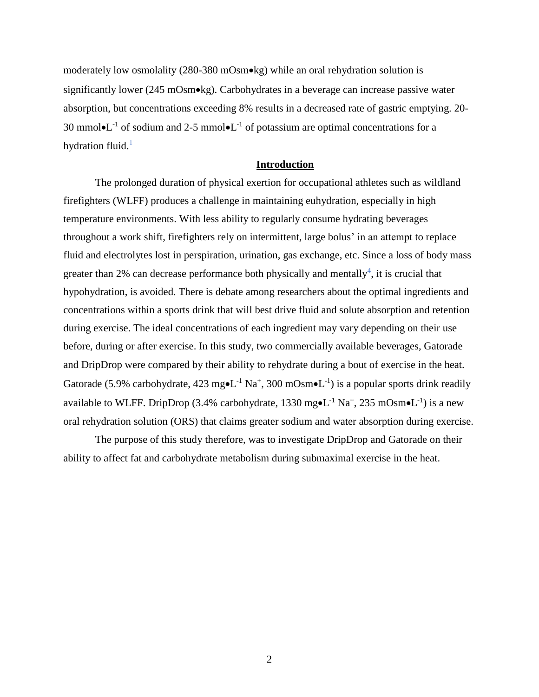moderately low osmolality (280-380 mOsm•kg) while an oral rehydration solution is significantly lower (245 mOsm•kg). Carbohydrates in a beverage can increase passive water absorption, but concentrations exceeding 8% results in a decreased rate of gastric emptying. 20- 30 mmol $\bullet L^{-1}$  of sodium and 2-5 mmol $\bullet L^{-1}$  of potassium are optimal concentrations for a hydration fluid. $<sup>1</sup>$ </sup>

#### **Introduction**

The prolonged duration of physical exertion for occupational athletes such as wildland firefighters (WLFF) produces a challenge in maintaining euhydration, especially in high temperature environments. With less ability to regularly consume hydrating beverages throughout a work shift, firefighters rely on intermittent, large bolus' in an attempt to replace fluid and electrolytes lost in perspiration, urination, gas exchange, etc. Since a loss of body mass greater than 2% can decrease performance both physically and mentally<sup>4</sup>, it is crucial that hypohydration, is avoided. There is debate among researchers about the optimal ingredients and concentrations within a sports drink that will best drive fluid and solute absorption and retention during exercise. The ideal concentrations of each ingredient may vary depending on their use before, during or after exercise. In this study, two commercially available beverages, Gatorade and DripDrop were compared by their ability to rehydrate during a bout of exercise in the heat. Gatorade (5.9% carbohydrate, 423 mg•L<sup>-1</sup> Na<sup>+</sup>, 300 mOsm•L<sup>-1</sup>) is a popular sports drink readily available to WLFF. DripDrop (3.4% carbohydrate, 1330 mg $\bullet L^{-1}$  Na<sup>+</sup>, 235 mOsm $\bullet L^{-1}$ ) is a new oral rehydration solution (ORS) that claims greater sodium and water absorption during exercise.

The purpose of this study therefore, was to investigate DripDrop and Gatorade on their ability to affect fat and carbohydrate metabolism during submaximal exercise in the heat.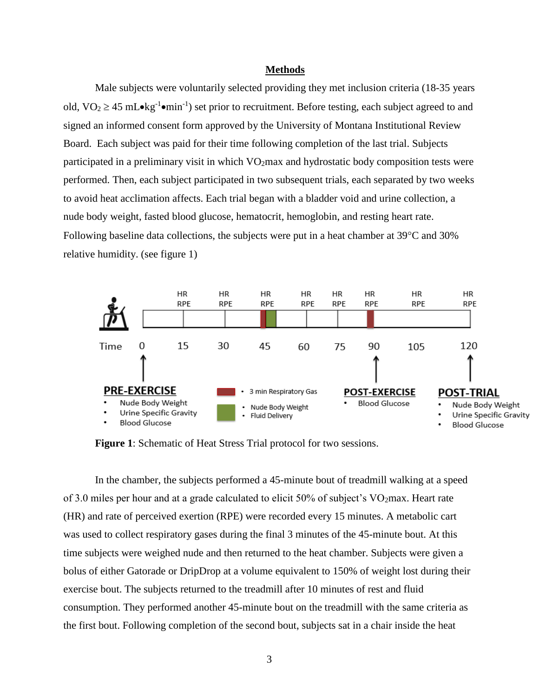#### **Methods**

Male subjects were voluntarily selected providing they met inclusion criteria (18-35 years old,  $VO_2 \ge 45$  mL $\bullet$ kg<sup>-1</sup> $\bullet$ min<sup>-1</sup>) set prior to recruitment. Before testing, each subject agreed to and signed an informed consent form approved by the University of Montana Institutional Review Board. Each subject was paid for their time following completion of the last trial. Subjects participated in a preliminary visit in which VO2max and hydrostatic body composition tests were performed. Then, each subject participated in two subsequent trials, each separated by two weeks to avoid heat acclimation affects. Each trial began with a bladder void and urine collection, a nude body weight, fasted blood glucose, hematocrit, hemoglobin, and resting heart rate. Following baseline data collections, the subjects were put in a heat chamber at  $39^{\circ}$ C and  $30\%$ relative humidity. (see figure 1)



**Figure 1**: Schematic of Heat Stress Trial protocol for two sessions.

In the chamber, the subjects performed a 45-minute bout of treadmill walking at a speed of 3.0 miles per hour and at a grade calculated to elicit 50% of subject's VO2max. Heart rate (HR) and rate of perceived exertion (RPE) were recorded every 15 minutes. A metabolic cart was used to collect respiratory gases during the final 3 minutes of the 45-minute bout. At this time subjects were weighed nude and then returned to the heat chamber. Subjects were given a bolus of either Gatorade or DripDrop at a volume equivalent to 150% of weight lost during their exercise bout. The subjects returned to the treadmill after 10 minutes of rest and fluid consumption. They performed another 45-minute bout on the treadmill with the same criteria as the first bout. Following completion of the second bout, subjects sat in a chair inside the heat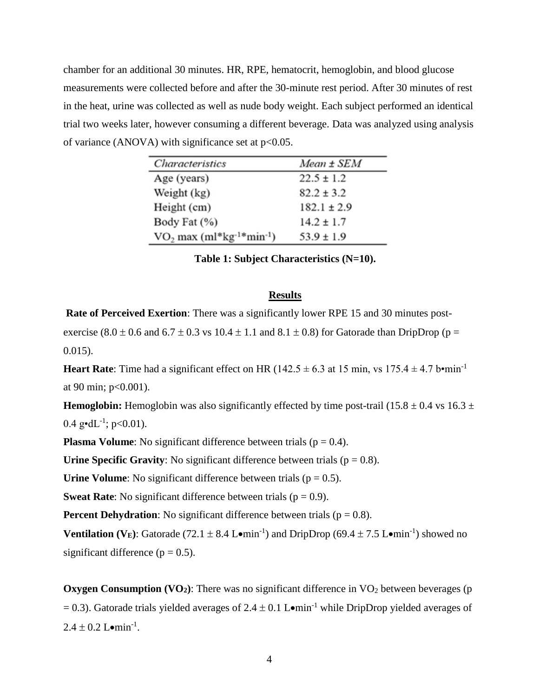chamber for an additional 30 minutes. HR, RPE, hematocrit, hemoglobin, and blood glucose measurements were collected before and after the 30-minute rest period. After 30 minutes of rest in the heat, urine was collected as well as nude body weight. Each subject performed an identical trial two weeks later, however consuming a different beverage. Data was analyzed using analysis of variance (ANOVA) with significance set at  $p<0.05$ .

| Characteristics                                     | Mean ± SEM      |
|-----------------------------------------------------|-----------------|
| Age (years)                                         | $22.5 \pm 1.2$  |
| Weight (kg)                                         | $82.2 \pm 3.2$  |
| Height (cm)                                         | $182.1 \pm 2.9$ |
| Body Fat (%)                                        | $14.2 \pm 1.7$  |
| $VO2$ max (ml*kg <sup>-1*</sup> min <sup>-1</sup> ) | $53.9 \pm 1.9$  |

**Table 1: Subject Characteristics (N=10).**

#### **Results**

**Rate of Perceived Exertion**: There was a significantly lower RPE 15 and 30 minutes post-

exercise (8.0  $\pm$  0.6 and 6.7  $\pm$  0.3 vs 10.4  $\pm$  1.1 and 8.1  $\pm$  0.8) for Gatorade than DripDrop (p = 0.015).

**Heart Rate**: Time had a significant effect on HR ( $142.5 \pm 6.3$  at 15 min, vs  $175.4 \pm 4.7$  b•min<sup>-1</sup> at 90 min; p<0.001).

**Hemoglobin:** Hemoglobin was also significantly effected by time post-trail (15.8  $\pm$  0.4 vs 16.3  $\pm$  $0.4 \text{ g} \cdot dL^{-1}$ ; p<0.01).

**Plasma Volume**: No significant difference between trials ( $p = 0.4$ ).

**Urine Specific Gravity:** No significant difference between trials ( $p = 0.8$ ).

**Urine Volume**: No significant difference between trials ( $p = 0.5$ ).

**Sweat Rate:** No significant difference between trials ( $p = 0.9$ ).

**Percent Dehydration**: No significant difference between trials ( $p = 0.8$ ).

**Ventilation (V<sub>E</sub>):** Gatorade (72.1  $\pm$  8.4 L•min<sup>-1</sup>) and DripDrop (69.4  $\pm$  7.5 L•min<sup>-1</sup>) showed no significant difference ( $p = 0.5$ ).

**Oxygen Consumption (VO<sub>2</sub>)**: There was no significant difference in VO<sub>2</sub> between beverages (p  $= 0.3$ ). Gatorade trials yielded averages of 2.4  $\pm$  0.1 L•min<sup>-1</sup> while DripDrop yielded averages of  $2.4 \pm 0.2$  Lomin<sup>-1</sup>.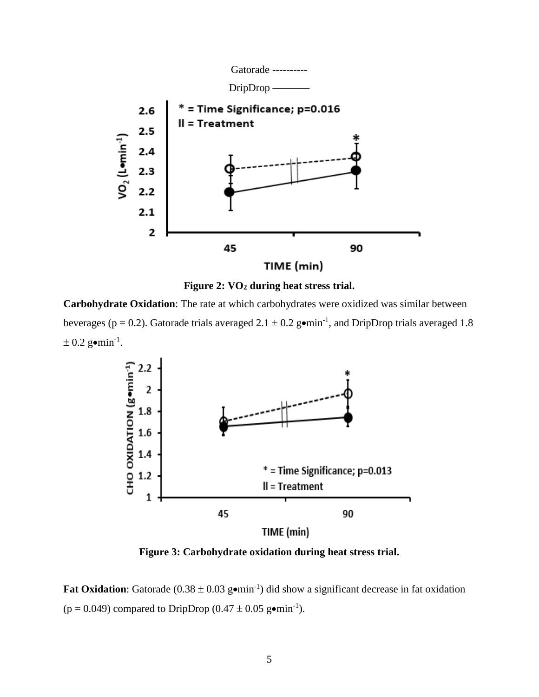



**Carbohydrate Oxidation**: The rate at which carbohydrates were oxidized was similar between beverages ( $p = 0.2$ ). Gatorade trials averaged  $2.1 \pm 0.2$  gomin<sup>-1</sup>, and DripDrop trials averaged 1.8  $\pm$  0.2 g•min<sup>-1</sup>.



**Figure 3: Carbohydrate oxidation during heat stress trial.**

Fat Oxidation: Gatorade  $(0.38 \pm 0.03 \text{ g} \cdot \text{min}^{-1})$  did show a significant decrease in fat oxidation  $(p = 0.049)$  compared to DripDrop  $(0.47 \pm 0.05 \text{ g} \cdot \text{min}^{-1})$ .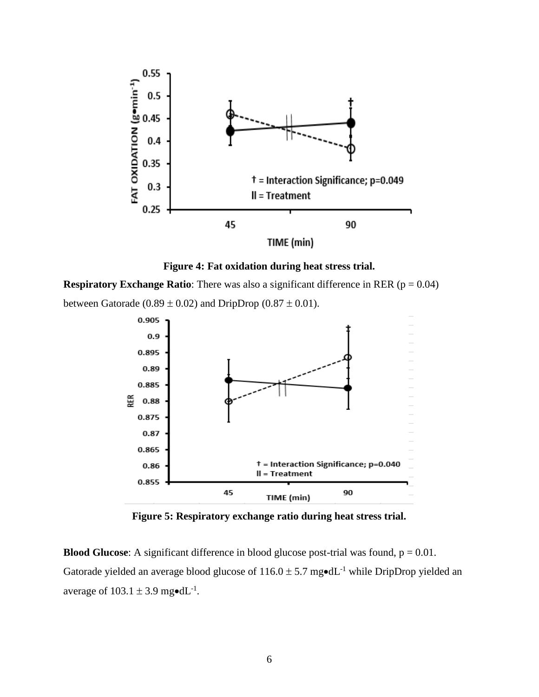



**Respiratory Exchange Ratio:** There was also a significant difference in RER ( $p = 0.04$ ) between Gatorade (0.89  $\pm$  0.02) and DripDrop (0.87  $\pm$  0.01).



**Figure 5: Respiratory exchange ratio during heat stress trial.**

**Blood Glucose**: A significant difference in blood glucose post-trial was found,  $p = 0.01$ . Gatorade yielded an average blood glucose of  $116.0 \pm 5.7$  mg $\text{ed}$ L<sup>-1</sup> while DripDrop yielded an average of  $103.1 \pm 3.9$  mg•dL<sup>-1</sup>.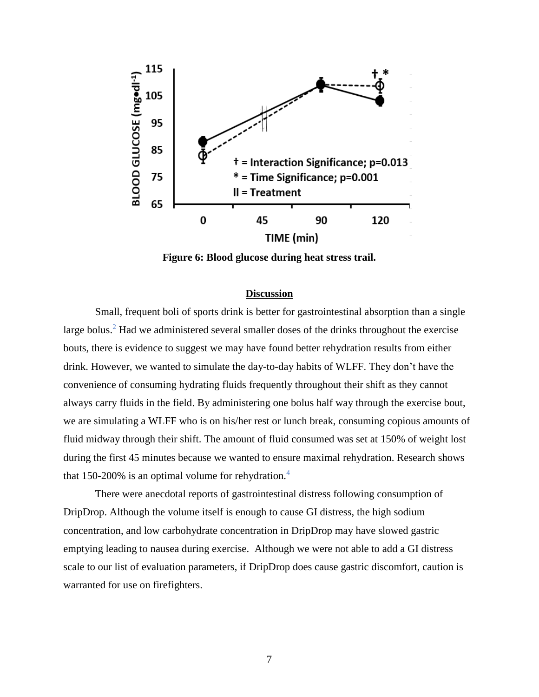

**Figure 6: Blood glucose during heat stress trail.**

#### **Discussion**

Small, frequent boli of sports drink is better for gastrointestinal absorption than a single large bolus.<sup>2</sup> Had we administered several smaller doses of the drinks throughout the exercise bouts, there is evidence to suggest we may have found better rehydration results from either drink. However, we wanted to simulate the day-to-day habits of WLFF. They don't have the convenience of consuming hydrating fluids frequently throughout their shift as they cannot always carry fluids in the field. By administering one bolus half way through the exercise bout, we are simulating a WLFF who is on his/her rest or lunch break, consuming copious amounts of fluid midway through their shift. The amount of fluid consumed was set at 150% of weight lost during the first 45 minutes because we wanted to ensure maximal rehydration. Research shows that 150-200% is an optimal volume for rehydration.<sup>4</sup>

There were anecdotal reports of gastrointestinal distress following consumption of DripDrop. Although the volume itself is enough to cause GI distress, the high sodium concentration, and low carbohydrate concentration in DripDrop may have slowed gastric emptying leading to nausea during exercise. Although we were not able to add a GI distress scale to our list of evaluation parameters, if DripDrop does cause gastric discomfort, caution is warranted for use on firefighters.

7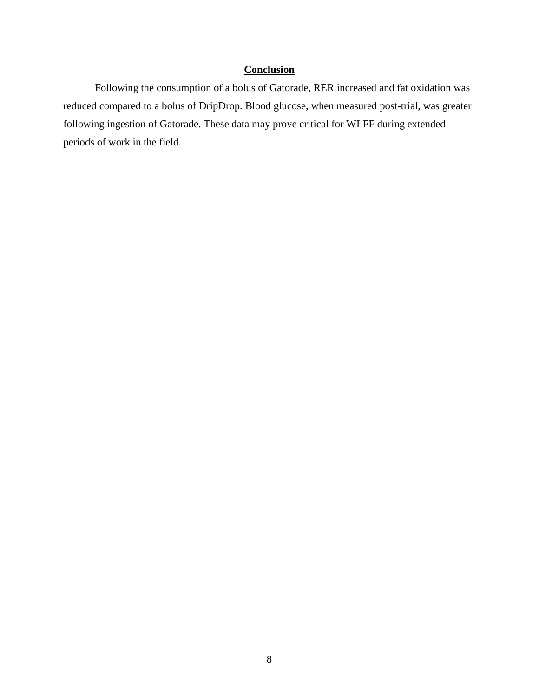## **Conclusion**

Following the consumption of a bolus of Gatorade, RER increased and fat oxidation was reduced compared to a bolus of DripDrop. Blood glucose, when measured post-trial, was greater following ingestion of Gatorade. These data may prove critical for WLFF during extended periods of work in the field.